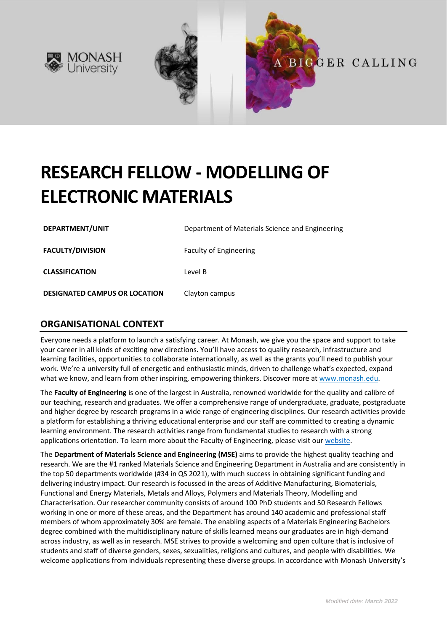



# **RESEARCH FELLOW - MODELLING OF ELECTRONIC MATERIALS**

**DEPARTMENT/UNIT** Department of Materials Science and Engineering **FACULTY/DIVISION** Faculty of Engineering **CLASSIFICATION** Level B **DESIGNATED CAMPUS OR LOCATION** Clayton campus

## **ORGANISATIONAL CONTEXT**

Everyone needs a platform to launch a satisfying career. At Monash, we give you the space and support to take your career in all kinds of exciting new directions. You'll have access to quality research, infrastructure and learning facilities, opportunities to collaborate internationally, as well as the grants you'll need to publish your work. We're a university full of energetic and enthusiastic minds, driven to challenge what's expected, expand what we know, and learn from other inspiring, empowering thinkers. Discover more a[t www.monash.edu.](http://www.monash.edu/)

The **Faculty of Engineering** is one of the largest in Australia, renowned worldwide for the quality and calibre of our teaching, research and graduates. We offer a comprehensive range of undergraduate, graduate, postgraduate and higher degree by research programs in a wide range of engineering disciplines. Our research activities provide a platform for establishing a thriving educational enterprise and our staff are committed to creating a dynamic learning environment. The research activities range from fundamental studies to research with a strong applications orientation. To learn more about the Faculty of Engineering, please visit our [website.](https://www.monash.edu/engineering)

The **Department of Materials Science and Engineering (MSE)** aims to provide the highest quality teaching and research. We are the #1 ranked Materials Science and Engineering Department in Australia and are consistently in the top 50 departments worldwide (#34 in QS 2021), with much success in obtaining significant funding and delivering industry impact. Our research is focussed in the areas of Additive Manufacturing, Biomaterials, Functional and Energy Materials, Metals and Alloys, Polymers and Materials Theory, Modelling and Characterisation. Our researcher community consists of around 100 PhD students and 50 Research Fellows working in one or more of these areas, and the Department has around 140 academic and professional staff members of whom approximately 30% are female. The enabling aspects of a Materials Engineering Bachelors degree combined with the multidisciplinary nature of skills learned means our graduates are in high-demand across industry, as well as in research. MSE strives to provide a welcoming and open culture that is inclusive of students and staff of diverse genders, sexes, sexualities, religions and cultures, and people with disabilities. We welcome applications from individuals representing these diverse groups. In accordance with Monash University's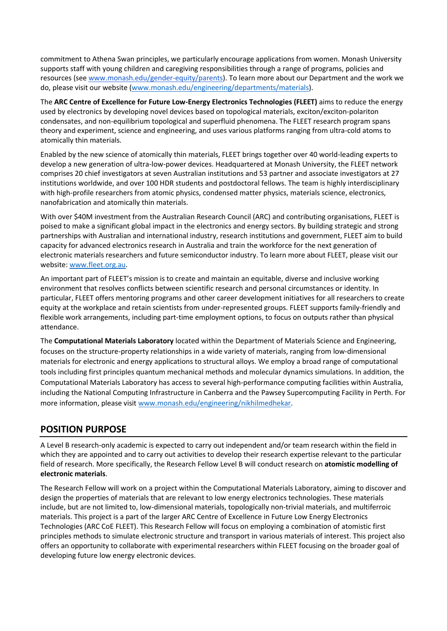commitment to Athena Swan principles, we particularly encourage applications from women. Monash University supports staff with young children and caregiving responsibilities through a range of programs, policies and resources (see [www.monash.edu/gender-equity/parents\)](https://www.monash.edu/gender-equity/parents). To learn more about our Department and the work we do, please visit our website [\(www.monash.edu/engineering/departments/materials\)](https://www.monash.edu/engineering/departments/materials).

The **ARC Centre of Excellence for Future Low-Energy Electronics Technologies (FLEET)** aims to reduce the energy used by electronics by developing novel devices based on topological materials, exciton/exciton-polariton condensates, and non-equilibrium topological and superfluid phenomena. The FLEET research program spans theory and experiment, science and engineering, and uses various platforms ranging from ultra-cold atoms to atomically thin materials.

Enabled by the new science of atomically thin materials, FLEET brings together over 40 world-leading experts to develop a new generation of ultra-low-power devices. Headquartered at Monash University, the FLEET network comprises 20 chief investigators at seven Australian institutions and 53 partner and associate investigators at 27 institutions worldwide, and over 100 HDR students and postdoctoral fellows. The team is highly interdisciplinary with high-profile researchers from atomic physics, condensed matter physics, materials science, electronics, nanofabrication and atomically thin materials.

With over \$40M investment from the Australian Research Council (ARC) and contributing organisations, FLEET is poised to make a significant global impact in the electronics and energy sectors. By building strategic and strong partnerships with Australian and international industry, research institutions and government, FLEET aim to build capacity for advanced electronics research in Australia and train the workforce for the next generation of electronic materials researchers and future semiconductor industry. To learn more about FLEET, please visit our website[: www.fleet.org.au.](https://www.fleet.org.au/)

An important part of FLEET's mission is to create and maintain an equitable, diverse and inclusive working environment that resolves conflicts between scientific research and personal circumstances or identity. In particular, FLEET offers mentoring programs and other career development initiatives for all researchers to create equity at the workplace and retain scientists from under-represented groups. FLEET supports family-friendly and flexible work arrangements, including part-time employment options, to focus on outputs rather than physical attendance.

The **Computational Materials Laboratory** located within the Department of Materials Science and Engineering, focuses on the structure-property relationships in a wide variety of materials, ranging from low-dimensional materials for electronic and energy applications to structural alloys. We employ a broad range of computational tools including first principles quantum mechanical methods and molecular dynamics simulations. In addition, the Computational Materials Laboratory has access to several high-performance computing facilities within Australia, including the National Computing Infrastructure in Canberra and the Pawsey Supercomputing Facility in Perth. For more information, please visit [www.monash.edu/engineering/nikhilmedhekar.](https://www.monash.edu/engineering/nikhilmedhekar)

## **POSITION PURPOSE**

A Level B research-only academic is expected to carry out independent and/or team research within the field in which they are appointed and to carry out activities to develop their research expertise relevant to the particular field of research. More specifically, the Research Fellow Level B will conduct research on **atomistic modelling of electronic materials**.

The Research Fellow will work on a project within the Computational Materials Laboratory, aiming to discover and design the properties of materials that are relevant to low energy electronics technologies. These materials include, but are not limited to, low-dimensional materials, topologically non-trivial materials, and multiferroic materials. This project is a part of the larger ARC Centre of Excellence in Future Low Energy Electronics Technologies (ARC CoE FLEET). This Research Fellow will focus on employing a combination of atomistic first principles methods to simulate electronic structure and transport in various materials of interest. This project also offers an opportunity to collaborate with experimental researchers within FLEET focusing on the broader goal of developing future low energy electronic devices.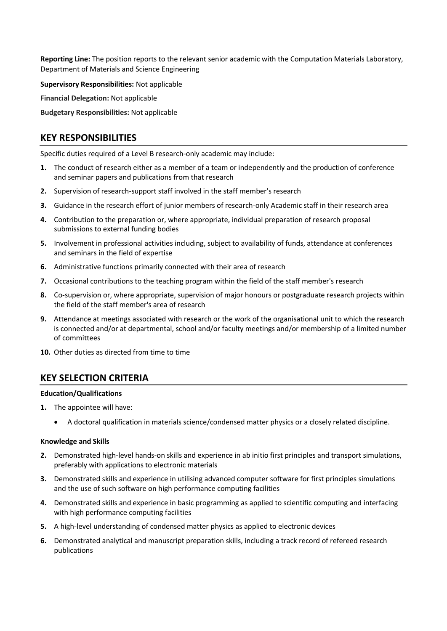**Reporting Line:** The position reports to the relevant senior academic with the Computation Materials Laboratory, Department of Materials and Science Engineering

**Supervisory Responsibilities:** Not applicable

**Financial Delegation:** Not applicable

**Budgetary Responsibilities:** Not applicable

## **KEY RESPONSIBILITIES**

Specific duties required of a Level B research-only academic may include:

- **1.** The conduct of research either as a member of a team or independently and the production of conference and seminar papers and publications from that research
- **2.** Supervision of research-support staff involved in the staff member's research
- **3.** Guidance in the research effort of junior members of research-only Academic staff in their research area
- **4.** Contribution to the preparation or, where appropriate, individual preparation of research proposal submissions to external funding bodies
- **5.** Involvement in professional activities including, subject to availability of funds, attendance at conferences and seminars in the field of expertise
- **6.** Administrative functions primarily connected with their area of research
- **7.** Occasional contributions to the teaching program within the field of the staff member's research
- **8.** Co-supervision or, where appropriate, supervision of major honours or postgraduate research projects within the field of the staff member's area of research
- **9.** Attendance at meetings associated with research or the work of the organisational unit to which the research is connected and/or at departmental, school and/or faculty meetings and/or membership of a limited number of committees
- **10.** Other duties as directed from time to time

## **KEY SELECTION CRITERIA**

#### **Education/Qualifications**

- **1.** The appointee will have:
	- A doctoral qualification in materials science/condensed matter physics or a closely related discipline.

#### **Knowledge and Skills**

- **2.** Demonstrated high-level hands-on skills and experience in ab initio first principles and transport simulations, preferably with applications to electronic materials
- **3.** Demonstrated skills and experience in utilising advanced computer software for first principles simulations and the use of such software on high performance computing facilities
- **4.** Demonstrated skills and experience in basic programming as applied to scientific computing and interfacing with high performance computing facilities
- **5.** A high-level understanding of condensed matter physics as applied to electronic devices
- **6.** Demonstrated analytical and manuscript preparation skills, including a track record of refereed research publications